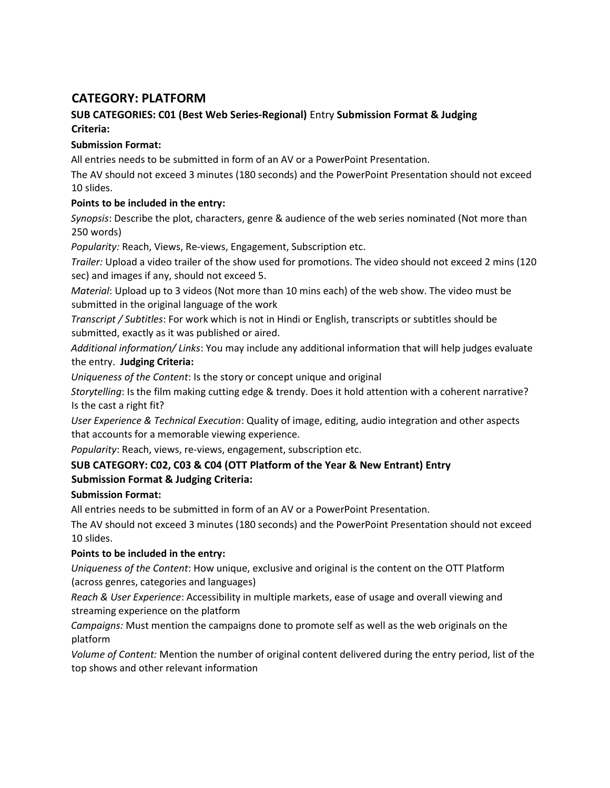# CATEGORY: PLATFORM

# SUB CATEGORIES: C01 (Best Web Series-Regional) Entry Submission Format & Judging Criteria:

## Submission Format:

All entries needs to be submitted in form of an AV or a PowerPoint Presentation.

The AV should not exceed 3 minutes (180 seconds) and the PowerPoint Presentation should not exceed 10 slides.

## Points to be included in the entry:

Synopsis: Describe the plot, characters, genre & audience of the web series nominated (Not more than 250 words)

Popularity: Reach, Views, Re-views, Engagement, Subscription etc.

Trailer: Upload a video trailer of the show used for promotions. The video should not exceed 2 mins (120 sec) and images if any, should not exceed 5.

Material: Upload up to 3 videos (Not more than 10 mins each) of the web show. The video must be submitted in the original language of the work

Transcript / Subtitles: For work which is not in Hindi or English, transcripts or subtitles should be submitted, exactly as it was published or aired.

Additional information/ Links: You may include any additional information that will help judges evaluate the entry. Judging Criteria:

Uniqueness of the Content: Is the story or concept unique and original

Storytelling: Is the film making cutting edge & trendy. Does it hold attention with a coherent narrative? Is the cast a right fit?

User Experience & Technical Execution: Quality of image, editing, audio integration and other aspects that accounts for a memorable viewing experience.

Popularity: Reach, views, re-views, engagement, subscription etc.

# SUB CATEGORY: C02, C03 & C04 (OTT Platform of the Year & New Entrant) Entry Submission Format & Judging Criteria:

# Submission Format:

All entries needs to be submitted in form of an AV or a PowerPoint Presentation.

The AV should not exceed 3 minutes (180 seconds) and the PowerPoint Presentation should not exceed 10 slides.

# Points to be included in the entry:

Uniqueness of the Content: How unique, exclusive and original is the content on the OTT Platform (across genres, categories and languages)

Reach & User Experience: Accessibility in multiple markets, ease of usage and overall viewing and streaming experience on the platform

Campaigns: Must mention the campaigns done to promote self as well as the web originals on the platform

Volume of Content: Mention the number of original content delivered during the entry period, list of the top shows and other relevant information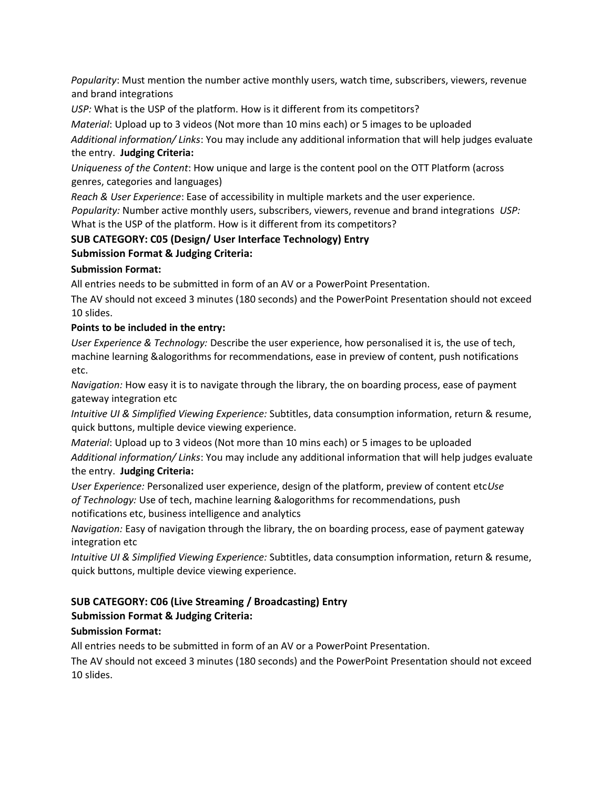Popularity: Must mention the number active monthly users, watch time, subscribers, viewers, revenue and brand integrations

USP: What is the USP of the platform. How is it different from its competitors?

Material: Upload up to 3 videos (Not more than 10 mins each) or 5 images to be uploaded

Additional information/ Links: You may include any additional information that will help judges evaluate the entry. Judging Criteria:

Uniqueness of the Content: How unique and large is the content pool on the OTT Platform (across genres, categories and languages)

Reach & User Experience: Ease of accessibility in multiple markets and the user experience. Popularity: Number active monthly users, subscribers, viewers, revenue and brand integrations USP: What is the USP of the platform. How is it different from its competitors?

### SUB CATEGORY: C05 (Design/ User Interface Technology) Entry

### Submission Format & Judging Criteria:

#### Submission Format:

All entries needs to be submitted in form of an AV or a PowerPoint Presentation.

The AV should not exceed 3 minutes (180 seconds) and the PowerPoint Presentation should not exceed 10 slides.

#### Points to be included in the entry:

User Experience & Technology: Describe the user experience, how personalised it is, the use of tech, machine learning &alogorithms for recommendations, ease in preview of content, push notifications etc.

Navigation: How easy it is to navigate through the library, the on boarding process, ease of payment gateway integration etc

Intuitive UI & Simplified Viewing Experience: Subtitles, data consumption information, return & resume, quick buttons, multiple device viewing experience.

Material: Upload up to 3 videos (Not more than 10 mins each) or 5 images to be uploaded Additional information/ Links: You may include any additional information that will help judges evaluate the entry. Judging Criteria:

User Experience: Personalized user experience, design of the platform, preview of content etcUse of Technology: Use of tech, machine learning &alogorithms for recommendations, push notifications etc, business intelligence and analytics

Navigation: Easy of navigation through the library, the on boarding process, ease of payment gateway integration etc

Intuitive UI & Simplified Viewing Experience: Subtitles, data consumption information, return & resume, quick buttons, multiple device viewing experience.

# SUB CATEGORY: C06 (Live Streaming / Broadcasting) Entry Submission Format & Judging Criteria:

### Submission Format:

All entries needs to be submitted in form of an AV or a PowerPoint Presentation.

The AV should not exceed 3 minutes (180 seconds) and the PowerPoint Presentation should not exceed 10 slides.